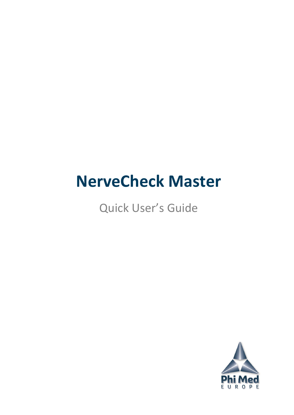# **NerveCheck Master**

# Quick User's Guide

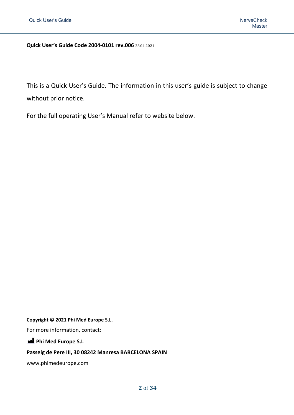**Quick User's Guide Code 2004-0101 rev.006** 28.04.2021

This is a Quick User's Guide. The information in this user's guide is subject to change without prior notice.

For the full operating User's Manual refer to website below.

#### **Copyright © 2021 Phi Med Europe S.L.**

For more information, contact:

**Phi Med Europe S.L** 

#### **Passeig de Pere III, 30 08242 Manresa BARCELONA SPAIN**

www.phimedeurope.com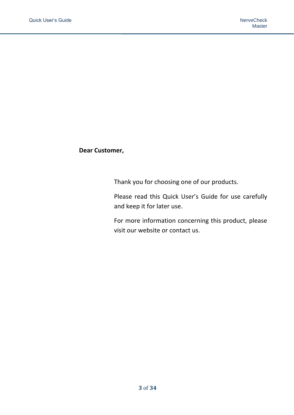#### **Dear Customer,**

Thank you for choosing one of our products.

Please read this Quick User's Guide for use carefully and keep it for later use.

For more information concerning this product, please visit our website or contact us.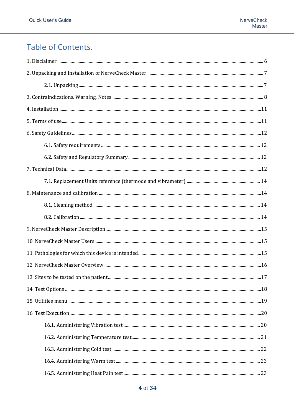# Table of Contents.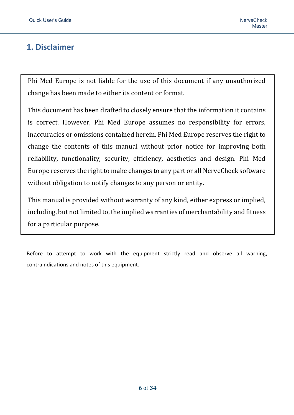# <span id="page-5-0"></span>**1. Disclaimer**

Phi Med Europe is not liable for the use of this document if any unauthorized change has been made to either its content or format.

This document has been drafted to closely ensure that the information it contains is correct. However, Phi Med Europe assumes no responsibility for errors, inaccuracies or omissions contained herein. Phi Med Europe reserves the right to change the contents of this manual without prior notice for improving both reliability, functionality, security, efficiency, aesthetics and design. Phi Med Europe reserves the right to make changes to any part or all NerveCheck software without obligation to notify changes to any person or entity.

This manual is provided without warranty of any kind, either express or implied, including, but not limited to, the implied warranties of merchantability and fitness for a particular purpose.

Before to attempt to work with the equipment strictly read and observe all warning, contraindications and notes of this equipment.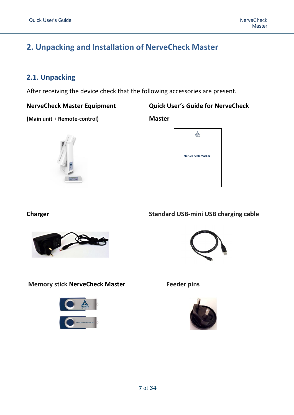# <span id="page-6-0"></span>**2. Unpacking and Installation of NerveCheck Master**

# <span id="page-6-1"></span>**2.1. Unpacking**

After receiving the device check that the following accessories are present.

**NerveCheck Master Equipment Quick User's Guide for NerveCheck** 

**(Main unit + Remote-control) Master**





#### **Charger Standard USB-mini USB charging cable**



**Memory stick NerveCheck Master Feeder pins** 



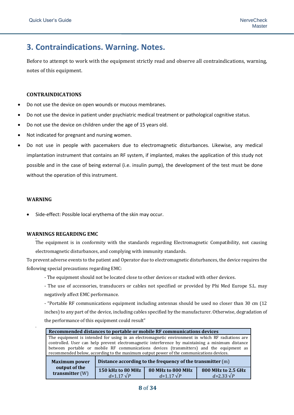# <span id="page-7-0"></span>**3. Contraindications. Warning. Notes.**

Before to attempt to work with the equipment strictly read and observe all contraindications, warning, notes of this equipment.

#### **CONTRAINDICATIONS**

- Do not use the device on open wounds or mucous membranes.
- Do not use the device in patient under psychiatric medical treatment or pathological cognitive status.
- Do not use the device on children under the age of 15 years old.
- Not indicated for pregnant and nursing women.
- Do not use in people with pacemakers due to electromagnetic disturbances. Likewise, any medical implantation instrument that contains an RF system, if implanted, makes the application of this study not possible and in the case of being external (i.e. insulin pump), the development of the test must be done without the operation of this instrument.

#### **WARNING**

•

•

Side-effect: Possible local erythema of the skin may occur.

#### **WARNINGS REGARDING EMC**

The equipment is in conformity with the standards regarding Electromagnetic Compatibility, not causing electromagnetic disturbances, and complying with immunity standards.

To prevent adverse events to the patient and Operator due to electromagnetic disturbances, the device requires the following special precautions regarding EMC:

- The equipment should not be located close to other devices or stacked with other devices.
- The use of accessories, transducers or cables not specified or provided by Phi Med Europe S.L. may negatively affect EMC performance.

- "Portable RF communications equipment including antennas should be used no closer than 30 cm (12 inches) to any part of the device, including cables specified by the manufacturer. Otherwise, degradation of the performance of this equipment could result"

| Recommended distances to portable or mobile RF communications devices                                                                                                                                                                                                                                                                                                                       |                                                                                                                                                           |  |  |  |
|---------------------------------------------------------------------------------------------------------------------------------------------------------------------------------------------------------------------------------------------------------------------------------------------------------------------------------------------------------------------------------------------|-----------------------------------------------------------------------------------------------------------------------------------------------------------|--|--|--|
| The equipment is intended for using in an electromagnetic environment in which RF radiations are<br>controlled. User can help prevent electromagnetic interference by maintaining a minimum distance<br>between portable or mobile RF communications devices (transmitters) and the equipment as<br>recommended below, according to the maximum output power of the communications devices. |                                                                                                                                                           |  |  |  |
| Distance according to the frequency of the transmitter (m)<br><b>Maximum power</b>                                                                                                                                                                                                                                                                                                          |                                                                                                                                                           |  |  |  |
| transmitter (W)                                                                                                                                                                                                                                                                                                                                                                             | output of the<br><b>80 MHz to 800 MHz</b><br>150 kHz to 80 MHz<br>800 MHz to 2.5 GHz<br>$d = 1.17 \sqrt{P}$<br>$d = 1.17 \sqrt{P}$<br>$d = 2.33 \sqrt{P}$ |  |  |  |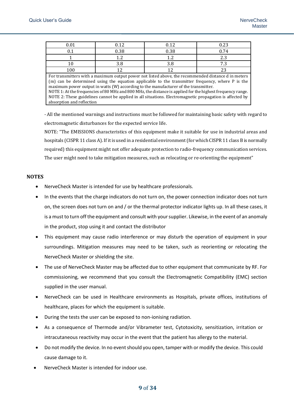|     | በ 12 | 0.12                                            | 0.23                            |
|-----|------|-------------------------------------------------|---------------------------------|
|     | 0.38 | 0.38                                            | $^{\circ}$ 74                   |
|     |      | $\sqrt{2}$                                      | $\Omega$                        |
|     | ں ر  | 3.8                                             | $\mathbf{z}$<br>-               |
| 100 |      | ^ י                                             | <u>.</u>                        |
|     |      | 그 그는 그 사람들은 그 사람들을 사랑하고 있다. 그는 사람들은 어디에 대해 보았다. | 그 그는 그 그 사람들은 그 사람들을 지르는 것이 없다. |

For transmitters with a maximum output power not listed above, the recommended distance d in meters (m) can be determined using the equation applicable to the transmitter frequency, where P is the maximum power output in watts (W) according to the manufacturer of the transmitter. NOTE 1: At the frequencies of 80 MHz and 800 MHz, the distance is applied for the highest frequency range. NOTE 2: These guidelines cannot be applied in all situations. Electromagnetic propagation is affected by absorption and reflection

- All the mentioned warnings and instructions must be followed for maintaining basic safety with regard to electromagnetic disturbances for the expected service life.

NOTE: "The EMISSIONS characteristics of this equipment make it suitable for use in industrial areas and hospitals (CISPR 11 class A). If it is used in a residential environment (for which CISPR 11 class B is normally required) this equipment might not offer adequate protection to radio-frequency communication services. The user might need to take mitigation measures, such as relocating or re-orienting the equipment"

#### **NOTES**

- NerveCheck Master is intended for use by healthcare professionals.
- In the events that the charge indicators do not turn on, the power connection indicator does not turn on, the screen does not turn on and / or the thermal protector indicator lights up. In all these cases, it is a must to turn off the equipment and consult with your supplier. Likewise, in the event of an anomaly in the product, stop using it and contact the distributor
- This equipment may cause radio interference or may disturb the operation of equipment in your surroundings. Mitigation measures may need to be taken, such as reorienting or relocating the NerveCheck Master or shielding the site.
- The use of NerveCheck Master may be affected due to other equipment that communicate by RF. For commissioning, we recommend that you consult the Electromagnetic Compatibility (EMC) section supplied in the user manual.
- NerveCheck can be used in Healthcare environments as Hospitals, private offices, institutions of healthcare, places for which the equipment is suitable.
- During the tests the user can be exposed to non-ionising radiation.
- As a consequence of Thermode and/or Vibrameter test, Cytotoxicity, sensitization, irritation or intracutaneous reactivity may occur in the event that the patient has allergy to the material.
- Do not modify the device. In no event should you open, tamper with or modify the device. This could cause damage to it.
- NerveCheck Master is intended for indoor use.

#### **9** of **34**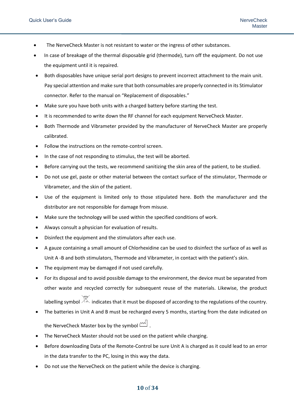- The NerveCheck Master is not resistant to water or the ingress of other substances.
- In case of breakage of the thermal disposable grid (thermode), turn off the equipment. Do not use the equipment until it is repaired.
- Both disposables have unique serial port designs to prevent incorrect attachment to the main unit. Pay special attention and make sure that both consumables are properly connected in its Stimulator connector. Refer to the manual on "Replacement of disposables."
- Make sure you have both units with a charged battery before starting the test.
- It is recommended to write down the RF channel for each equipment NerveCheck Master.
- Both Thermode and Vibrameter provided by the manufacturer of NerveCheck Master are properly calibrated.
- Follow the instructions on the remote-control screen.
- In the case of not responding to stimulus, the test will be aborted.
- Before carrying out the tests, we recommend sanitizing the skin area of the patient, to be studied.
- Do not use gel, paste or other material between the contact surface of the stimulator, Thermode or Vibrameter, and the skin of the patient.
- Use of the equipment is limited only to those stipulated here. Both the manufacturer and the distributor are not responsible for damage from misuse.
- Make sure the technology will be used within the specified conditions of work.
- Always consult a physician for evaluation of results.
- Disinfect the equipment and the stimulators after each use.
- A gauze containing a small amount of Chlorhexidine can be used to disinfect the surface of as well as Unit A -B and both stimulators, Thermode and Vibrameter, in contact with the patient's skin.
- The equipment may be damaged if not used carefully.
- For its disposal and to avoid possible damage to the environment, the device must be separated from other waste and recycled correctly for subsequent reuse of the materials. Likewise, the product labelling symbol  $\mathbb K$  indicates that it must be disposed of according to the regulations of the country.
- The batteries in Unit A and B must be recharged every 5 months, starting from the date indicated on the NerveCheck Master box by the symbol  $\mathbb{R}^{\mathbb{N}}$ .
- The NerveCheck Master should not be used on the patient while charging.
- Before downloading Data of the Remote-Control be sure Unit A is charged as it could lead to an error in the data transfer to the PC, losing in this way the data.
- Do not use the NerveCheck on the patient while the device is charging.

#### **10** of **34**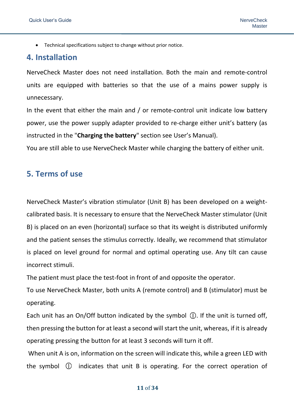• Technical specifications subject to change without prior notice.

#### <span id="page-10-0"></span>**4. Installation**

NerveCheck Master does not need installation. Both the main and remote-control units are equipped with batteries so that the use of a mains power supply is unnecessary.

In the event that either the main and / or remote-control unit indicate low battery power, use the power supply adapter provided to re-charge either unit's battery (as instructed in the "**Charging the battery**" section see User's Manual).

You are still able to use NerveCheck Master while charging the battery of either unit.

# <span id="page-10-1"></span>**5. Terms of use**

NerveCheck Master's vibration stimulator (Unit B) has been developed on a weightcalibrated basis. It is necessary to ensure that the NerveCheck Master stimulator (Unit B) is placed on an even (horizontal) surface so that its weight is distributed uniformly and the patient senses the stimulus correctly. Ideally, we recommend that stimulator is placed on level ground for normal and optimal operating use. Any tilt can cause incorrect stimuli.

The patient must place the test-foot in front of and opposite the operator.

To use NerveCheck Master, both units A (remote control) and B (stimulator) must be operating.

Each unit has an On/Off button indicated by the symbol  $\mathbb O$ . If the unit is turned off, then pressing the button for at least a second will start the unit, whereas, if it is already operating pressing the button for at least 3 seconds will turn it off.

When unit A is on, information on the screen will indicate this, while a green LED with the symbol  $\circled{1}$  indicates that unit B is operating. For the correct operation of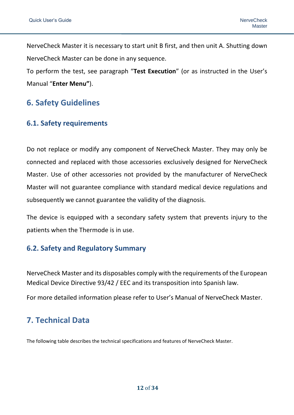NerveCheck Master it is necessary to start unit B first, and then unit A. Shutting down NerveCheck Master can be done in any sequence.

To perform the test, see paragraph "**Test Execution**" (or as instructed in the User's Manual "**Enter Menu"**).

# <span id="page-11-0"></span>**6. Safety Guidelines**

#### <span id="page-11-1"></span>**6.1. Safety requirements**

Do not replace or modify any component of NerveCheck Master. They may only be connected and replaced with those accessories exclusively designed for NerveCheck Master. Use of other accessories not provided by the manufacturer of NerveCheck Master will not guarantee compliance with standard medical device regulations and subsequently we cannot guarantee the validity of the diagnosis.

The device is equipped with a secondary safety system that prevents injury to the patients when the Thermode is in use.

#### <span id="page-11-2"></span>**6.2. Safety and Regulatory Summary**

NerveCheck Master and its disposables comply with the requirements of the European Medical Device Directive 93/42 / EEC and its transposition into Spanish law.

For more detailed information please refer to User's Manual of NerveCheck Master.

# <span id="page-11-3"></span>**7. Technical Data**

The following table describes the technical specifications and features of NerveCheck Master.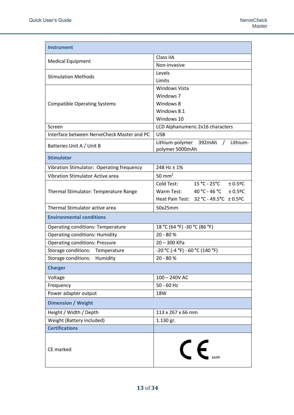| <b>Instrument</b>                          |                                                         |  |  |
|--------------------------------------------|---------------------------------------------------------|--|--|
|                                            | Class IIA                                               |  |  |
| <b>Medical Equipment</b>                   | Non-invasive                                            |  |  |
|                                            | Levels                                                  |  |  |
| <b>Stimulation Methods</b>                 | Limits                                                  |  |  |
|                                            | Windows Vista                                           |  |  |
|                                            | Windows 7                                               |  |  |
| <b>Compatible Operating Systems</b>        | Windows 8                                               |  |  |
|                                            | Windows 8.1                                             |  |  |
|                                            | Windows 10                                              |  |  |
| Screen                                     | LCD Alphanumeric 2x16 characters                        |  |  |
| Interface between NerveCheck Master and PC | <b>USB</b>                                              |  |  |
| Batteries Unit A / Unit B                  | Lithium-polymer 392mAh /<br>Lithium-<br>polymer 5000mAh |  |  |
| <b>Stimulator</b>                          |                                                         |  |  |
| Vibration Stimulator: Operating frequency  | 248 Hz ± 1%                                             |  |  |
| <b>Vibration Stimulator Active area</b>    | 50 mm <sup>2</sup>                                      |  |  |
|                                            | $15 °C - 25 °C + 0.5 °C$<br>Cold Test:                  |  |  |
| Thermal Stimulator: Temperature Range      | 40 °C - 46 °C $\pm$ 0.5°C<br>Warm Test:                 |  |  |
|                                            | Heat Pain Test: 32 °C - 49.5°C ± 0.5°C                  |  |  |
| Thermal Stimulator active area             | 50x25mm                                                 |  |  |
| <b>Environmental conditions</b>            |                                                         |  |  |
| <b>Operating conditions: Temperature</b>   | 18 °C (64 °F) -30 °C (86 °F)                            |  |  |
| <b>Operating conditions: Humidity</b>      | 20 - 80 %                                               |  |  |
| <b>Operating conditions: Pressure</b>      | $20 - 300$ KPa                                          |  |  |
| Storage conditions: Temperature            | $-20 °C$ (-4 °F) - 60 °C (140 °F)                       |  |  |
| Storage conditions: Humidity               | $20 - 80 %$                                             |  |  |
| <b>Charger</b>                             |                                                         |  |  |
| Voltage                                    | 100 - 240V AC                                           |  |  |
| Frequency                                  | $50 - 60$ Hz                                            |  |  |
| Power adapter output                       | 18W                                                     |  |  |
| <b>Dimension / Weight</b>                  |                                                         |  |  |
| Height / Width / Depth                     | 113 x 267 x 66 mm                                       |  |  |
| Weight (Battery included)                  | 1.130 gr.                                               |  |  |
| <b>Certifications</b>                      |                                                         |  |  |
| CE marked                                  |                                                         |  |  |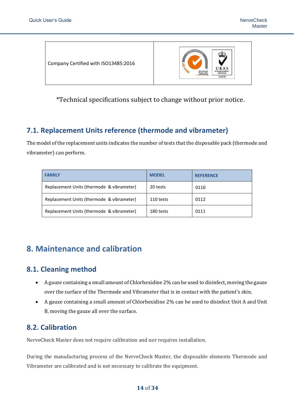Company Certified with ISO13485:2016



\*Technical specifications subject to change without prior notice.

# <span id="page-13-0"></span>**7.1. Replacement Units reference (thermode and vibrameter)**

The model of the replacement units indicates the number of tests that the disposable pack (thermode and vibrameter) can perform.

| <b>FAMILY</b>                             | <b>MODEL</b> | <b>REFERENCE</b> |
|-------------------------------------------|--------------|------------------|
| Replacement Units (thermode & vibrameter) | 20 tests     | 0110             |
| Replacement Units (thermode & vibrameter) | 110 tests    | 0112             |
| Replacement Units (thermode & vibrameter) | 180 tests    | 0111             |

# <span id="page-13-1"></span>**8. Maintenance and calibration**

# <span id="page-13-2"></span>**8.1. Cleaning method**

- A gauze containing a small amount of Chlorhexidine 2% can be used to disinfect, moving the gauze over the surface of the Thermode and Vibrameter that is in contact with the patient's skin.
- A gauze containing a small amount of Chlorhexidine 2% can be used to disinfect Unit A and Unit B, moving the gauze all over the surface.

# <span id="page-13-3"></span>**8.2. Calibration**

NerveCheck Master does not require calibration and nor requires installation.

During the manufacturing process of the NerveCheck Master, the disposable elements Thermode and Vibrameter are calibrated and is not necessary to calibrate the equipment.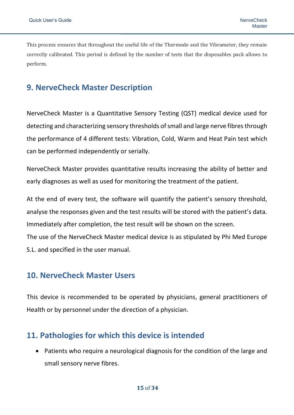This process ensures that throughout the useful life of the Thermode and the Vibrameter, they remain correctly calibrated. This period is defined by the number of tests that the disposables pack allows to perform.

# <span id="page-14-0"></span>**9. NerveCheck Master Description**

NerveCheck Master is a Quantitative Sensory Testing (QST) medical device used for detecting and characterizing sensory thresholds of small and large nerve fibres through the performance of 4 different tests: Vibration, Cold, Warm and Heat Pain test which can be performed independently or serially.

NerveCheck Master provides quantitative results increasing the ability of better and early diagnoses as well as used for monitoring the treatment of the patient.

At the end of every test, the software will quantify the patient's sensory threshold, analyse the responses given and the test results will be stored with the patient's data. Immediately after completion, the test result will be shown on the screen. The use of the NerveCheck Master medical device is as stipulated by Phi Med Europe S.L. and specified in the user manual.

# <span id="page-14-1"></span>**10. NerveCheck Master Users**

This device is recommended to be operated by physicians, general practitioners of Health or by personnel under the direction of a physician.

# <span id="page-14-2"></span>**11. Pathologies for which this device is intended**

• Patients who require a neurological diagnosis for the condition of the large and small sensory nerve fibres.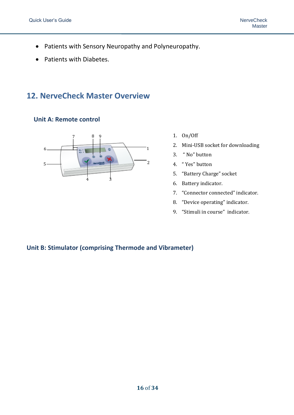- Patients with Sensory Neuropathy and Polyneuropathy.
- Patients with Diabetes.

# <span id="page-15-0"></span>**12. NerveCheck Master Overview**

**Unit A: Remote control** 



- 1. On/Off
- 2. Mini-USB socket for downloading
- 3. " No" button
- 4. " Yes" button
- 5. "Battery Charge" socket
- 6. Battery indicator.
- 7. "Connector connected" indicator.
- 8. "Device operating" indicator.
- 9. "Stimuli in course" indicator.

#### **Unit B: Stimulator (comprising Thermode and Vibrameter)**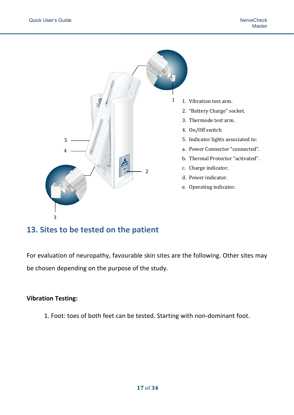

# <span id="page-16-0"></span>**13. Sites to be tested on the patient**

For evaluation of neuropathy, favourable skin sites are the following. Other sites may be chosen depending on the purpose of the study.

#### **Vibration Testing:**

1. Foot: toes of both feet can be tested. Starting with non-dominant foot.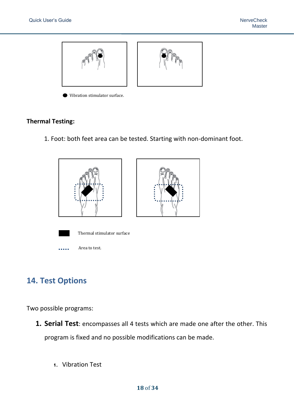

Vibration stimulator surface.

#### **Thermal Testing:**

1. Foot: both feet area can be tested. Starting with non-dominant foot.



# <span id="page-17-0"></span>**14. Test Options**

Two possible programs:

- **1. Serial Test**: encompasses all 4 tests which are made one after the other. This program is fixed and no possible modifications can be made.
	- **1.** Vibration Test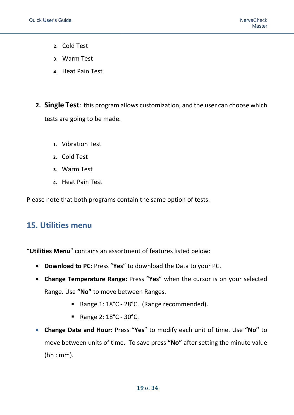- **2.** Cold Test
- **3.** Warm Test
- **4.** Heat Pain Test
- **2. Single Test**: this program allows customization, and the user can choose which tests are going to be made.
	- **1.** Vibration Test
	- **2.** Cold Test
	- **3.** Warm Test
	- **4.** Heat Pain Test

Please note that both programs contain the same option of tests.

# <span id="page-18-0"></span>**15. Utilities menu**

"**Utilities Menu**" contains an assortment of features listed below:

- **Download to PC:** Press "**Yes**" to download the Data to your PC.
- **Change Temperature Range:** Press "**Yes**" when the cursor is on your selected Range. Use **"No"** to move between Ranges.
	- Range 1: 18**°**C 28**°**C. (Range recommended).
	- Range 2: 18**°**C 30**°**C.
- **Change Date and Hour:** Press "**Yes**" to modify each unit of time. Use **"No"** to move between units of time. To save press **"No"** after setting the minute value (hh : mm).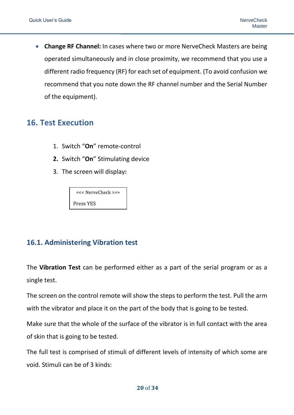• **Change RF Channel:** In cases where two or more NerveCheck Masters are being operated simultaneously and in close proximity, we recommend that you use a different radio frequency (RF) for each set of equipment. (To avoid confusion we recommend that you note down the RF channel number and the Serial Number of the equipment).

# <span id="page-19-0"></span>**16. Test Execution**

- 1. Switch "**On**" remote-control
- **2.** Switch "**On**" Stimulating device
- 3. The screen will display**:**

<<< NerveCheck >>> Press YES

# <span id="page-19-1"></span>**16.1. Administering Vibration test**

The **Vibration Test** can be performed either as a part of the serial program or as a single test.

The screen on the control remote will show the steps to perform the test. Pull the arm with the vibrator and place it on the part of the body that is going to be tested.

Make sure that the whole of the surface of the vibrator is in full contact with the area of skin that is going to be tested.

The full test is comprised of stimuli of different levels of intensity of which some are void. Stimuli can be of 3 kinds: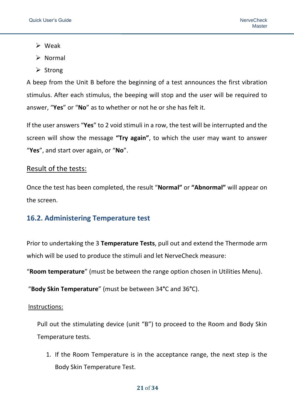- ➢ Weak
- ➢ Normal
- ➢ Strong

A beep from the Unit B before the beginning of a test announces the first vibration stimulus. After each stimulus, the beeping will stop and the user will be required to answer, "**Yes**" or "**No**" as to whether or not he or she has felt it.

If the user answers "**Yes**" to 2 void stimuli in a row, the test will be interrupted and the screen will show the message **"Try again"**, to which the user may want to answer "**Yes**", and start over again, or "**No**".

#### Result of the tests:

Once the test has been completed, the result "**Normal"** or **"Abnormal"** will appear on the screen.

#### <span id="page-20-0"></span>**16.2. Administering Temperature test**

Prior to undertaking the 3 **Temperature Tests**, pull out and extend the Thermode arm which will be used to produce the stimuli and let NerveCheck measure:

"**Room temperature**" (must be between the range option chosen in Utilities Menu).

"**Body Skin Temperature**" (must be between 34**°**C and 36**°**C).

#### Instructions:

Pull out the stimulating device (unit "B") to proceed to the Room and Body Skin Temperature tests.

1. If the Room Temperature is in the acceptance range, the next step is the Body Skin Temperature Test.

#### **21** of **34**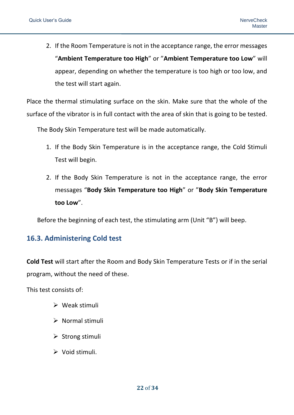2. If the Room Temperature is not in the acceptance range, the error messages "**Ambient Temperature too High**" or "**Ambient Temperature too Low**" will appear, depending on whether the temperature is too high or too low, and the test will start again.

Place the thermal stimulating surface on the skin. Make sure that the whole of the surface of the vibrator is in full contact with the area of skin that is going to be tested.

The Body Skin Temperature test will be made automatically.

- 1. If the Body Skin Temperature is in the acceptance range, the Cold Stimuli Test will begin.
- 2. If the Body Skin Temperature is not in the acceptance range, the error messages "**Body Skin Temperature too High**" or "**Body Skin Temperature too Low**".

Before the beginning of each test, the stimulating arm (Unit "B") will beep.

#### <span id="page-21-0"></span>**16.3. Administering Cold test**

**Cold Test** will start after the Room and Body Skin Temperature Tests or if in the serial program, without the need of these.

This test consists of:

- ➢ Weak stimuli
- ➢ Normal stimuli
- $\triangleright$  Strong stimuli
- ➢ Void stimuli.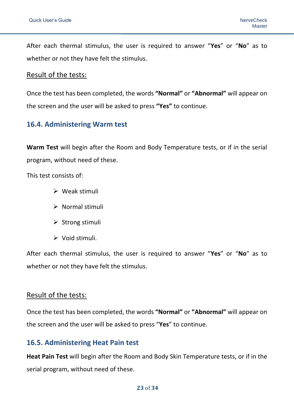After each thermal stimulus, the user is required to answer "**Yes**" or "**No**" as to whether or not they have felt the stimulus.

#### Result of the tests:

Once the test has been completed, the words **"Normal"** or **"Abnormal"** will appear on the screen and the user will be asked to press **"Yes"** to continue.

#### <span id="page-22-0"></span>**16.4. Administering Warm test**

**Warm Test** will begin after the Room and Body Temperature tests, or if in the serial program, without need of these.

This test consists of:

- ➢ Weak stimuli
- ➢ Normal stimuli
- ➢ Strong stimuli
- ➢ Void stimuli.

After each thermal stimulus, the user is required to answer "**Yes**" or "**No**" as to whether or not they have felt the stimulus.

#### Result of the tests:

Once the test has been completed, the words **"Normal"** or **"Abnormal"** will appear on the screen and the user will be asked to press "**Yes**" to continue.

#### <span id="page-22-1"></span>**16.5. Administering Heat Pain test**

**Heat Pain Test** will begin after the Room and Body Skin Temperature tests, or if in the serial program, without need of these.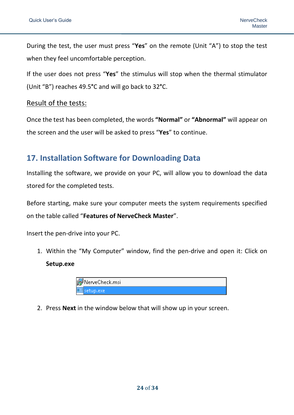During the test, the user must press "**Yes**" on the remote (Unit "A") to stop the test when they feel uncomfortable perception.

If the user does not press "**Yes**" the stimulus will stop when the thermal stimulator (Unit "B") reaches 49.5**°**C and will go back to 32**°**C.

#### Result of the tests:

Once the test has been completed, the words **"Normal"** or **"Abnormal"** will appear on the screen and the user will be asked to press "**Yes**" to continue.

# <span id="page-23-0"></span>**17. Installation Software for Downloading Data**

Installing the software, we provide on your PC, will allow you to download the data stored for the completed tests.

Before starting, make sure your computer meets the system requirements specified on the table called "**Features of NerveCheck Master**".

Insert the pen-drive into your PC.

1. Within the "My Computer" window, find the pen-drive and open it: Click on **Setup.exe**

| il <mark>:</mark> NerveCheck.msi |  |
|----------------------------------|--|
| ∟≣isetup.exe i                   |  |

2. Press **Next** in the window below that will show up in your screen.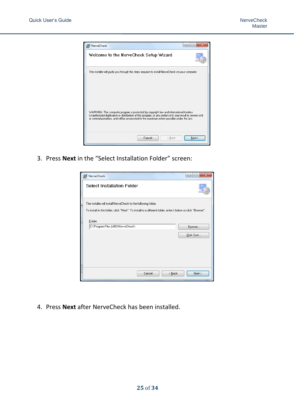

3. Press **Next** in the "Select Installation Folder" screen:

| <b>id NerveCheck</b>                                                                                                                                                           | x<br>-9<br>$\Box$   |
|--------------------------------------------------------------------------------------------------------------------------------------------------------------------------------|---------------------|
| <b>Select Installation Folder</b>                                                                                                                                              |                     |
| The installer will install NerveCheck to the following folder.<br>To install in this folder, click "Next". To install to a different folder, enter it below or click "Browse". |                     |
| Folder:<br>C:\Program Files (x86)\NerveCheck\                                                                                                                                  | Browse<br>Disk Cost |
| Cancel<br>< Back                                                                                                                                                               | Next >              |

4. Press **Next** after NerveCheck has been installed.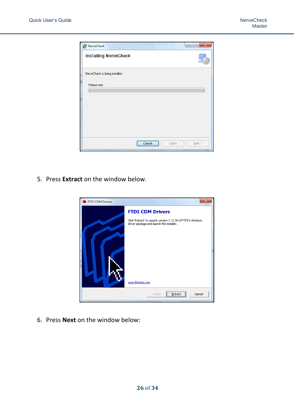| NerveCheck                     |            |                | $\mathbf{x}$<br>$\left  \alpha \right $<br>- |
|--------------------------------|------------|----------------|----------------------------------------------|
| Installing NerveCheck          |            |                |                                              |
| NerveCheck is being installed. |            |                |                                              |
| Please wait                    |            |                |                                              |
|                                |            |                |                                              |
|                                |            |                |                                              |
|                                |            |                |                                              |
|                                | Cancel<br> | < <u>B</u> ack | $N$ ext >                                    |

5. Press **Extract** on the window below.



6. Press **Next** on the window below: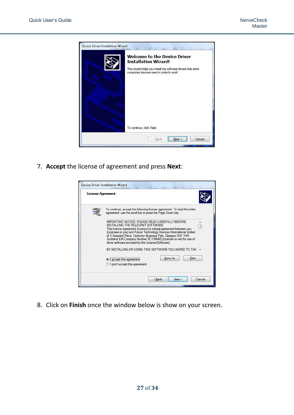

7. **Accept** the license of agreement and press **Next**:



8. Click on **Finish** once the window below is show on your screen.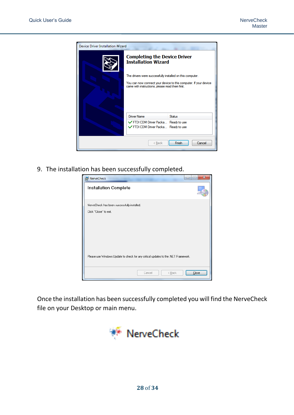

9. The installation has been successfully completed.

| $\overline{\mathbf{x}}$<br>$-1$<br>i NerveCheck<br>$\Box$                          |
|------------------------------------------------------------------------------------|
| Installation Complete                                                              |
| NerveCheck has been successfully installed.                                        |
| Click "Close" to exit.                                                             |
|                                                                                    |
|                                                                                    |
|                                                                                    |
|                                                                                    |
|                                                                                    |
| Please use Windows Update to check for any critical updates to the .NET Framework. |
|                                                                                    |
| Cancel<br>< Back<br>Liose                                                          |

Once the installation has been successfully completed you will find the NerveCheck file on your Desktop or main menu.

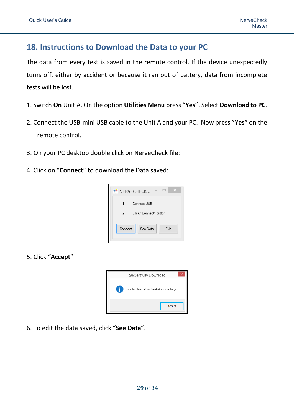# <span id="page-28-0"></span>**18. Instructions to Download the Data to your PC**

The data from every test is saved in the remote control. If the device unexpectedly turns off, either by accident or because it ran out of battery, data from incomplete tests will be lost.

- 1. Switch **On** Unit A. On the option **Utilities Menu** press "**Yes**". Select **Download to PC**.
- 2. Connect the USB-mini USB cable to the Unit A and your PC. Now press **"Yes"** on the remote control.
- 3. On your PC desktop double click on NerveCheck file:
- 4. Click on "**Connect**" to download the Data saved:



5. Click "**Accept**"



6. To edit the data saved, click "**See Data**".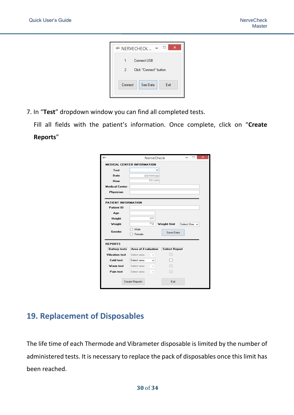

7. In "**Test**" dropdown window you can find all completed tests.

Fill all fields with the patient's information. Once complete, click on "**Create Reports**"

|                       | ×<br>NerveCheck                            |
|-----------------------|--------------------------------------------|
|                       | <b>MEDICAL CENTER INFORMATION</b>          |
| Test                  |                                            |
| Date                  | dd/mm/aa                                   |
| Hour                  | hh:mm                                      |
| <b>Medical Center</b> |                                            |
| Physician             |                                            |
| PATIENT INFORMATION   |                                            |
| <b>Patient ID</b>     |                                            |
| Age                   |                                            |
| Height                | cm                                         |
| Weight                | Кg<br><b>Weight Unit</b><br>Select One v   |
| Gender                | Male<br>Save Data<br>Female                |
| <b>REPORTS</b>        |                                            |
| <b>Battery tests</b>  | Area of Evaluation<br><b>Select Report</b> |
| <b>Vibration test</b> | Select area<br>$\omega$                    |
| <b>Cold test</b>      | Select area<br>v                           |
| Warm test             | Select area<br>$\sim$                      |
| Pain test             | Select area                                |
|                       | <b>Create Reports</b><br>Exit              |

# <span id="page-29-0"></span>**19. Replacement of Disposables**

The life time of each Thermode and Vibrameter disposable is limited by the number of administered tests. It is necessary to replace the pack of disposables once this limit has been reached.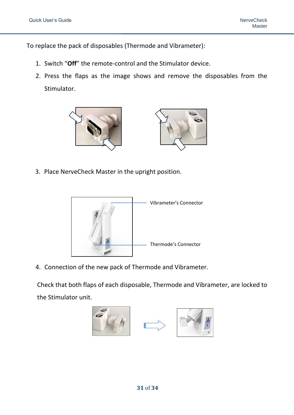To replace the pack of disposables (Thermode and Vibrameter):

- 1. Switch "**Off**" the remote-control and the Stimulator device.
- 2. Press the flaps as the image shows and remove the disposables from the Stimulator.



3. Place NerveCheck Master in the upright position.



4. Connection of the new pack of Thermode and Vibrameter.

Check that both flaps of each disposable, Thermode and Vibrameter, are locked to the Stimulator unit.

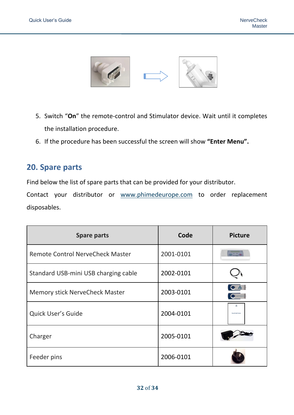

- 5. Switch "**On**" the remote-control and Stimulator device. Wait until it completes the installation procedure.
- 6. If the procedure has been successful the screen will show **"Enter Menu".**

# <span id="page-31-0"></span>**20. Spare parts**

Find below the list of spare parts that can be provided for your distributor.

Contact your distributor or [www.phimedeurope.com](http://www.phimedeurope.com/) to order replacement disposables.

| <b>Spare parts</b>                      | Code      | <b>Picture</b>         |
|-----------------------------------------|-----------|------------------------|
| <b>Remote Control NerveCheck Master</b> | 2001-0101 |                        |
| Standard USB-mini USB charging cable    | 2002-0101 |                        |
| <b>Memory stick NerveCheck Master</b>   | 2003-0101 | $\overrightarrow{AB}$  |
| Quick User's Guide                      | 2004-0101 | <b>NerverTrack Man</b> |
| Charger                                 | 2005-0101 |                        |
| Feeder pins                             | 2006-0101 |                        |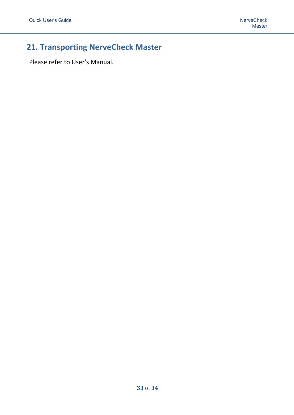# <span id="page-32-0"></span>**21. Transporting NerveCheck Master**

Please refer to User's Manual.